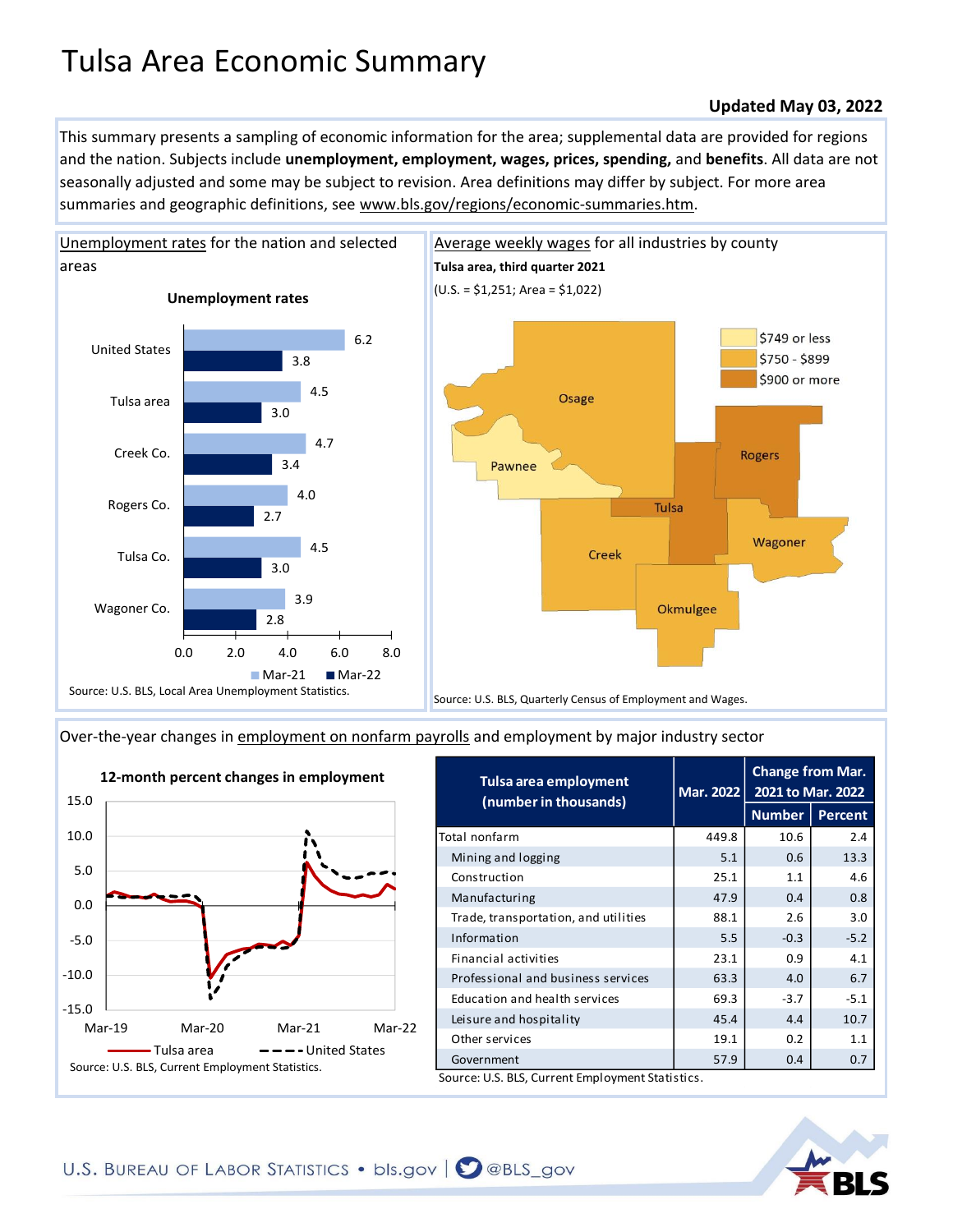## Tulsa Area Economic Summary

## **Updated May 03, 2022**

This summary presents a sampling of economic information for the area; supplemental data are provided for regions and the nation. Subjects include **unemployment, employment, wages, prices, spending,** and **benefits**. All data are not seasonally adjusted and some may be subject to revision. Area definitions may differ by subject. For more area summaries and geographic definitions, see www.bls.gov/regions/economic-summaries.htm.



[Over-the-year changes in employment on nonfarm payrolls](https://www.bls.gov/sae/) and employment by major industry sector



| Tulsa area employment<br>(number in thousands) | Mar. 2022 | <b>Change from Mar.</b><br>2021 to Mar. 2022 |                |
|------------------------------------------------|-----------|----------------------------------------------|----------------|
|                                                |           | <b>Number</b>                                | <b>Percent</b> |
| Total nonfarm                                  | 449.8     | 10.6                                         | 2.4            |
| Mining and logging                             | 5.1       | 0.6                                          | 13.3           |
| Construction                                   | 25.1      | 1.1                                          | 4.6            |
| Manufacturing                                  | 47.9      | 0.4                                          | 0.8            |
| Trade, transportation, and utilities           | 88.1      | 2.6                                          | 3.0            |
| Information                                    | 5.5       | $-0.3$                                       | $-5.2$         |
| Financial activities                           | 23.1      | 0.9                                          | 4.1            |
| Professional and business services             | 63.3      | 4.0                                          | 6.7            |
| Education and health services                  | 69.3      | $-3.7$                                       | $-5.1$         |
| Leisure and hospitality                        | 45.4      | 4.4                                          | 10.7           |
| Other services                                 | 19.1      | 0.2                                          | 1.1            |
| Government                                     | 57.9      | 0.4                                          | 0.7            |

U.S. BLS, Current Employment Statistics.